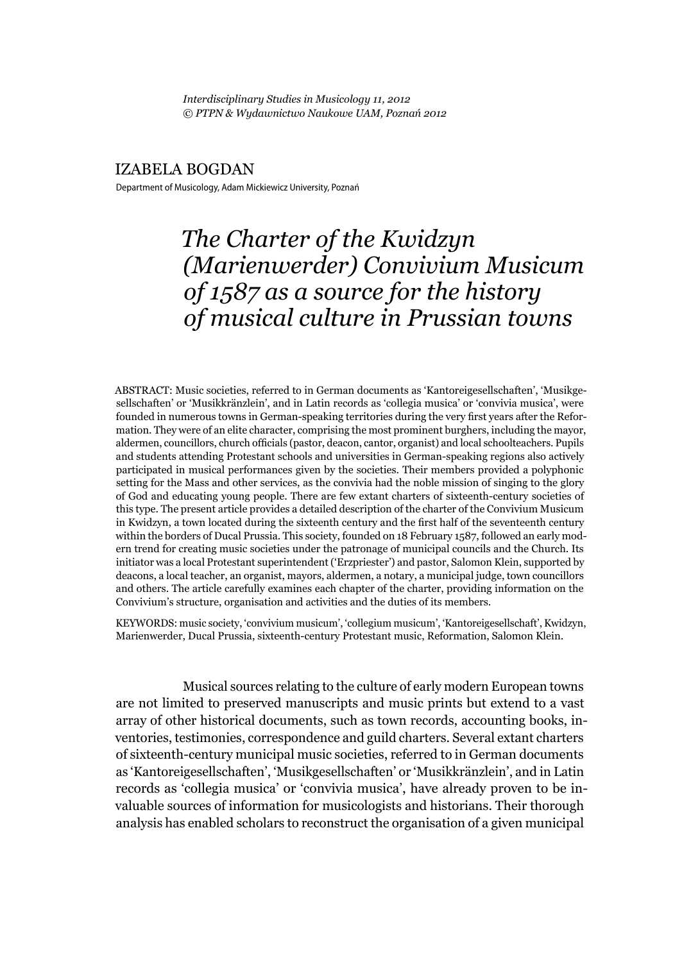*Interdisciplinary Studies in Musicology 11, 2012 © PTPN & Wydawnictwo Naukowe UAM, Poznań 2012*

#### IZABELA BOGDAN

Department of Musicology, Adam Mickiewicz University, Poznań

# *The Charter of the Kwidzyn (Marienwerder) Convivium Musicum of 1587 as a source for the history of musical culture in Prussian towns*

ABSTRACT: Music societies, referred to in German documents as 'Kantoreigesellschaften', 'Musikgesellschaften' or 'Musikkränzlein', and in Latin records as 'collegia musica' or 'convivia musica', were founded in numerous towns in German-speaking territories during the very first years after the Reformation. They were of an elite character, comprising the most prominent burghers, including the mayor, aldermen, councillors, church officials (pastor, deacon, cantor, organist) and local schoolteachers. Pupils and students attending Protestant schools and universities in German-speaking regions also actively participated in musical performances given by the societies. Their members provided a polyphonic setting for the Mass and other services, as the convivia had the noble mission of singing to the glory of God and educating young people. There are few extant charters of sixteenth-century societies of this type. The present article provides a detailed description of the charter of the Convivium Musicum in Kwidzyn, a town located during the sixteenth century and the first half of the seventeenth century within the borders of Ducal Prussia. This society, founded on 18 February 1587, followed an early modern trend for creating music societies under the patronage of municipal councils and the Church. Its initiator was a local Protestant superintendent ('Erzpriester') and pastor, Salomon Klein, supported by deacons, a local teacher, an organist, mayors, aldermen, a notary, a municipal judge, town councillors and others. The article carefully examines each chapter of the charter, providing information on the Convivium's structure, organisation and activities and the duties of its members.

KEYWORDS: music society, 'convivium musicum', 'collegium musicum', 'Kantoreigesellschaft', Kwidzyn, Marienwerder, Ducal Prussia, sixteenth-century Protestant music, Reformation, Salomon Klein.

Musical sources relating to the culture of early modern European towns are not limited to preserved manuscripts and music prints but extend to a vast array of other historical documents, such as town records, accounting books, inventories, testimonies, correspondence and guild charters. Several extant charters of sixteenth-century municipal music societies, referred to in German documents as 'Kantoreigesellschaften', 'Musikgesellschaften' or 'Musikkränzlein', and in Latin records as 'collegia musica' or 'convivia musica', have already proven to be invaluable sources of information for musicologists and historians. Their thorough analysis has enabled scholars to reconstruct the organisation of a given municipal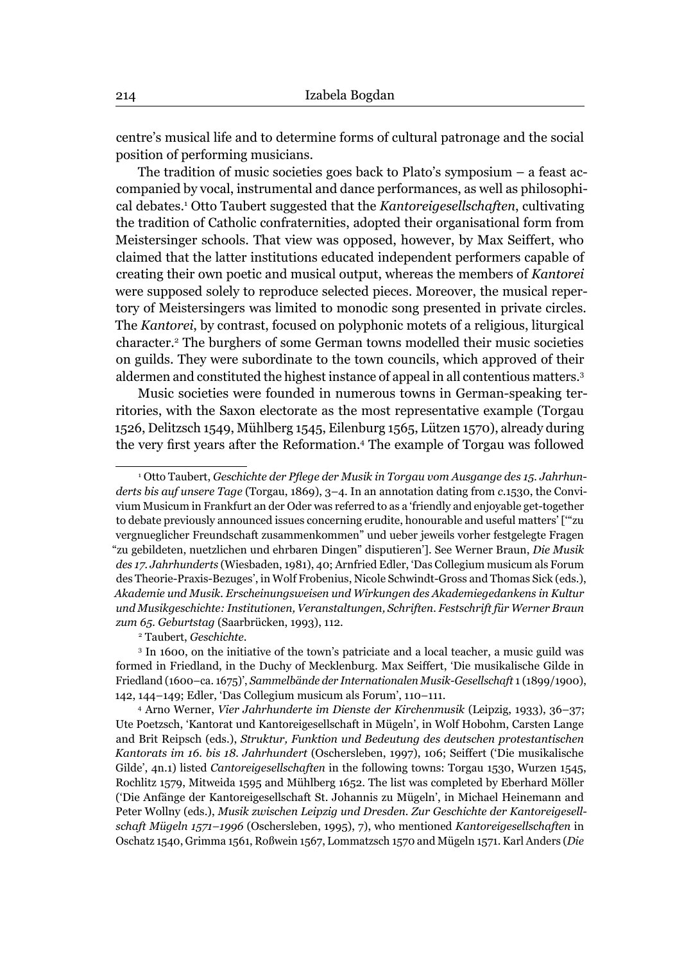centre's musical life and to determine forms of cultural patronage and the social position of performing musicians.

The tradition of music societies goes back to Plato's symposium – a feast accompanied by vocal, instrumental and dance performances, as well as philosophical debates.1 Otto Taubert suggested that the *Kantoreigesellschaften*, cultivating the tradition of Catholic confraternities, adopted their organisational form from Meistersinger schools. That view was opposed, however, by Max Seiffert, who claimed that the latter institutions educated independent performers capable of creating their own poetic and musical output, whereas the members of *Kantorei* were supposed solely to reproduce selected pieces. Moreover, the musical repertory of Meistersingers was limited to monodic song presented in private circles. The *Kantorei*, by contrast, focused on polyphonic motets of a religious, liturgical character.2 The burghers of some German towns modelled their music societies on guilds. They were subordinate to the town councils, which approved of their aldermen and constituted the highest instance of appeal in all contentious matters.3

Music societies were founded in numerous towns in German-speaking territories, with the Saxon electorate as the most representative example (Torgau 1526, Delitzsch 1549, Mühlberg 1545, Eilenburg 1565, Lützen 1570), already during the very first years after the Reformation.<sup>4</sup> The example of Torgau was followed

Taubert, *Geschichte*.

<sup>&</sup>lt;sup>1</sup> Otto Taubert, *Geschichte der Pflege der Musik in Torgau vom Ausgange des 15. Jahrhunderts bis auf unsere Tage* (Torgau, 1869), 3–4. In an annotation dating from *c*.1530, the Convivium Musicum in Frankfurt an der Oder was referred to as a 'friendly and enjoyable get-together to debate previously announced issues concerning erudite, honourable and useful matters' ['"zu vergnueglicher Freundschaft zusammenkommen" und ueber jeweils vorher festgelegte Fragen "zu gebildeten, nuetzlichen und ehrbaren Dingen" disputieren']. See Werner Braun, *Die Musik des 17. Jahrhunderts* (Wiesbaden, 1981), 40; Arnfried Edler, 'Das Collegium musicum als Forum des Theorie-Praxis-Bezuges', in Wolf Frobenius, Nicole Schwindt-Gross and Thomas Sick (eds.), *Akademie und Musik. Erscheinungsweisen und Wirkungen des Akademiegedankens in Kultur und Musikgeschichte: Institutionen, Veranstaltungen, Schriften. Festschrift für Werner Braun*  zum 65. Geburtstag (Saarbrücken, 1993), 112.

<sup>3</sup> In 1600, on the initiative of the town's patriciate and a local teacher, a music guild was formed in Friedland, in the Duchy of Mecklenburg. Max Seiffert, 'Die musikalische Gilde in Friedland (1600–ca. 1675)', *Sammelbände der Internationalen Musik-Gesellschaft* 1 (1899/1900), 142, 144–149; Edler, 'Das Collegium musicum als Forum', 110–111. 4

Arno Werner, *Vier Jahrhunderte im Dienste der Kirchenmusik* (Leipzig, 1933), 36–37; Ute Poetzsch, 'Kantorat und Kantoreigesellschaft in Mügeln', in Wolf Hobohm, Carsten Lange and Brit Reipsch (eds.), *Struktur, Funktion und Bedeutung des deutschen protestantischen Kantorats im 16. bis 18. Jahrhundert* (Oschersleben, 1997), 106; Seiffert ('Die musikalische Gilde', 4n.1) listed *Cantoreigesellschaften* in the following towns: Torgau 1530, Wurzen 1545, Rochlitz 1579, Mitweida 1595 and Mühlberg 1652. The list was completed by Eberhard Möller ('Die Anfänge der Kantoreigesellschaft St. Johannis zu Mügeln', in Michael Heinemann and Peter Wollny (eds.), *Musik zwischen Leipzig und Dresden. Zur Geschichte der Kantoreigesellschaft Mügeln 1571–1996* (Oschersleben, 1995), 7), who mentioned *Kantoreigesellschaften* in Oschatz 1540, Grimma 1561, Roßwein 1567, Lommatzsch 1570 and Mügeln 1571. Karl Anders (*Die*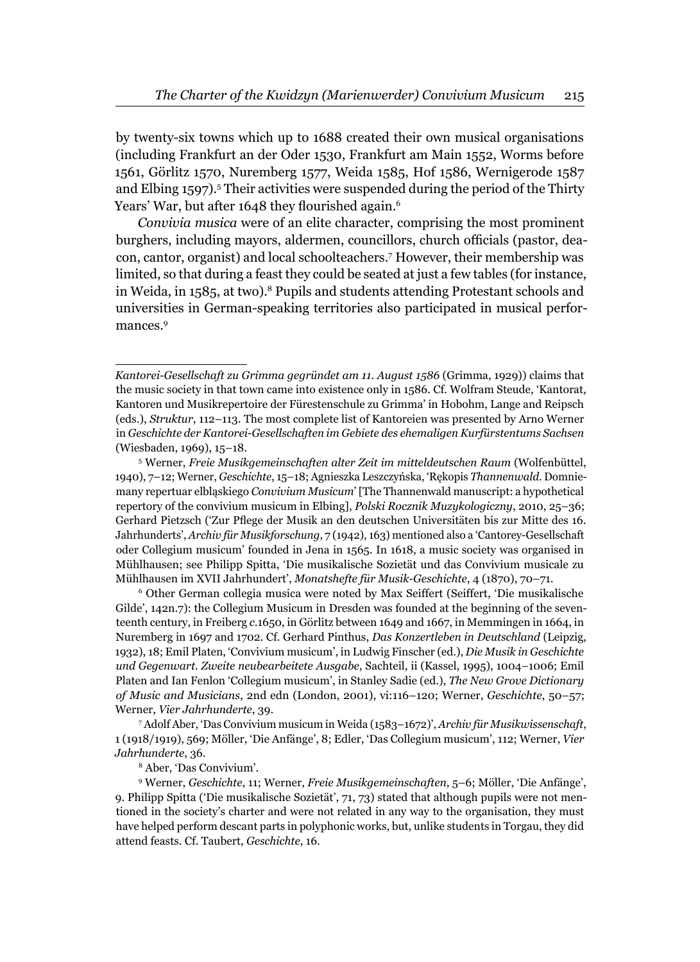by twenty-six towns which up to 1688 created their own musical organisations (including Frankfurt an der Oder 1530, Frankfurt am Main 1552, Worms before 1561, Görlitz 1570, Nuremberg 1577, Weida 1585, Hof 1586, Wernigerode 1587 and Elbing 1597).<sup>5</sup> Their activities were suspended during the period of the Thirty Years' War, but after 1648 they flourished again.<sup>6</sup>

*Convivia musica* were of an elite character, comprising the most prominent burghers, including mayors, aldermen, councillors, church officials (pastor, deacon, cantor, organist) and local schoolteachers.7 However, their membership was limited, so that during a feast they could be seated at just a few tables (for instance, in Weida, in 1585, at two).8 Pupils and students attending Protestant schools and universities in German-speaking territories also participated in musical performances.<sup>9</sup>

 Other German collegia musica were noted by Max Seiffert (Seiffert, 'Die musikalische Gilde', 142n.7): the Collegium Musicum in Dresden was founded at the beginning of the seventeenth century, in Freiberg *c*.1650, in Görlitz between 1649 and 1667, in Memmingen in 1664, in Nuremberg in 1697 and 1702. Cf. Gerhard Pinthus, *Das Konzertleben in Deutschland* (Leipzig, 1932), 18; Emil Platen, 'Convivium musicum', in Ludwig Finscher (ed.), *Die Musik in Geschichte und Gegenwart. Zweite neubearbeitete Ausgabe*, Sachteil, ii (Kassel, 1995), 1004–1006; Emil Platen and Ian Fenlon 'Collegium musicum', in Stanley Sadie (ed.), *The New Grove Dictionary of Music and Musicians*, 2nd edn (London, 2001), vi:116–120; Werner, *Geschichte*, 50–57; Werner, *Vier Jahrhunderte*, 39.

7 Adolf Aber, 'Das Convivium musicum in Weida (1583–1672)', *Archiv für Musikwissenschaft*, 1 (1918/1919), 569; Möller, 'Die Anfänge', 8; Edler, 'Das Collegium musicum', 112; Werner, *Vier Jahrhunderte*, 36.<br><sup>8</sup> Aber, 'Das Convivium'.

9 Werner, *Geschichte*, 11; Werner, *Freie Musikgemeinschaften*, 5–6; Möller, 'Die Anfänge', 9. Philipp Spitta ('Die musikalische Sozietät', 71, 73) stated that although pupils were not mentioned in the society's charter and were not related in any way to the organisation, they must have helped perform descant parts in polyphonic works, but, unlike students in Torgau, they did attend feasts. Cf. Taubert, *Geschichte*, 16.

*Kantorei-Gesellschaft zu Grimma gegründet am 11. August 1586* (Grimma, 1929)) claims that the music society in that town came into existence only in 1586. Cf. Wolfram Steude, 'Kantorat, Kantoren und Musikrepertoire der Fürestenschule zu Grimma' in Hobohm, Lange and Reipsch (eds.), *Struktur*, 112–113. The most complete list of Kantoreien was presented by Arno Werner in *Geschichte der Kantorei-Gesellschaften im Gebiete des ehemaligen Kurfürstentums Sachsen* (Wiesbaden, 1969), 15-18.

Werner, *Freie Musikgemeinschaften alter Zeit im mitteldeutschen Raum* (Wolfenbüttel, 1940), 7–12; Werner, *Geschichte*, 15–18; Agnieszka Leszczyńska, 'Rękopis *Thannenwald*. Domniemany repertuar elbląskiego *Convivium Musicum*' [The Thannenwald manuscript: a hypothetical repertory of the convivium musicum in Elbing], *Polski Rocznik Muzykologiczny*, 2010, 25–36; Gerhard Pietzsch ('Zur Pflege der Musik an den deutschen Universitäten bis zur Mitte des 16. Jahrhunderts', *Archiv für Musikforschung*, 7 (1942), 163) mentioned also a 'Cantorey-Gesellschaft oder Collegium musicum' founded in Jena in 1565. In 1618, a music society was organised in Mühlhausen; see Philipp Spitta, 'Die musikalische Sozietät und das Convivium musicale zu Mühlhausen im XVII Jahrhundert', *Monatshefte für Musik-Geschichte*, 4 (1870), 70–71. 6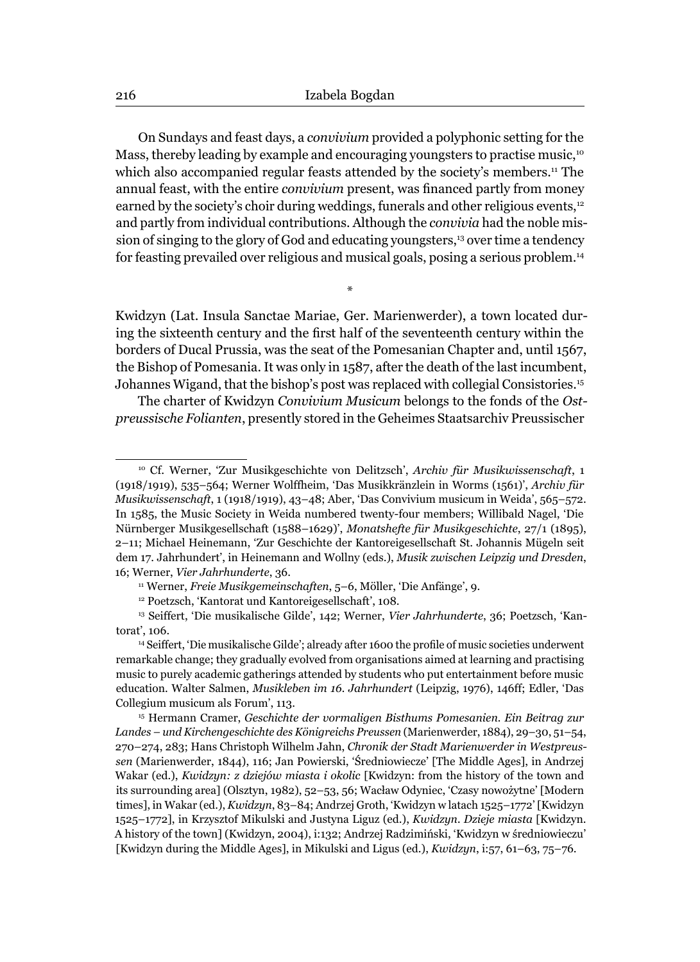On Sundays and feast days, a *convivium* provided a polyphonic setting for the Mass, thereby leading by example and encouraging youngsters to practise music,<sup>10</sup> which also accompanied regular feasts attended by the society's members.<sup>11</sup> The annual feast, with the entire *convivium* present, was financed partly from money earned by the society's choir during weddings, funerals and other religious events,<sup>12</sup> and partly from individual contributions. Although the *convivia* had the noble mission of singing to the glory of God and educating youngsters,<sup>13</sup> over time a tendency for feasting prevailed over religious and musical goals, posing a serious problem.14

Kwidzyn (Lat. Insula Sanctae Mariae, Ger. Marienwerder), a town located during the sixteenth century and the first half of the seventeenth century within the borders of Ducal Prussia, was the seat of the Pomesanian Chapter and, until 1567, the Bishop of Pomesania. It was only in 1587, after the death of the last incumbent, Johannes Wigand, that the bishop's post was replaced with collegial Consistories.15

\*

The charter of Kwidzyn *Convivium Musicum* belongs to the fonds of the *Ostpreussische Folianten*, presently stored in the Geheimes Staatsarchiv Preussischer

<sup>10</sup> Cf. Werner, 'Zur Musikgeschichte von Delitzsch', *Archiv für Musikwissenschaft*, 1 (1918/1919), 535–564; Werner Wolffheim, 'Das Musikkränzlein in Worms (1561)', *Archiv für Musikwissenschaft*, 1 (1918/1919), 43–48; Aber, 'Das Convivium musicum in Weida', 565–572. In 1585, the Music Society in Weida numbered twenty-four members; Willibald Nagel, 'Die Nürnberger Musikgesellschaft (1588–1629)', *Monatshefte für Musikgeschichte*, 27/1 (1895), 2–11; Michael Heinemann, 'Zur Geschichte der Kantoreigesellschaft St. Johannis Mügeln seit dem 17. Jahrhundert', in Heinemann and Wollny (eds.), *Musik zwischen Leipzig und Dresden*, 16; Werner, *Vier Jahrhunderte*, 36.<br><sup>11</sup> Werner, *Freie Musikgemeinschaften*, 5–6, Möller, 'Die Anfänge', 9.<br><sup>12</sup> Poetzsch, 'Kantorat und Kantoreigesellschaft', 108.

<sup>13</sup> Seiffert, 'Die musikalische Gilde', 142; Werner, *Vier Jahrhunderte*, 36; Poetzsch, 'Kantorat', 106.

<sup>&</sup>lt;sup>14</sup> Seiffert, 'Die musikalische Gilde'; already after 1600 the profile of music societies underwent remarkable change; they gradually evolved from organisations aimed at learning and practising music to purely academic gatherings attended by students who put entertainment before music education. Walter Salmen, *Musikleben im 16. Jahrhundert* (Leipzig, 1976), 146ff; Edler, 'Das Collegium musicum als Forum', 113. 15 Hermann Cramer, *Geschichte der vormaligen Bisthums Pomesanien. Ein Beitrag zur* 

*Landes – und Kirchengeschichte des Königreichs Preussen* (Marienwerder, 1884), 29–30, 51–54, 270–274, 283; Hans Christoph Wilhelm Jahn, *Chronik der Stadt Marienwerder in Westpreussen* (Marienwerder, 1844), 116; Jan Powierski, 'Średniowiecze' [The Middle Ages], in Andrzej Wakar (ed.), *Kwidzyn: z dziejów miasta i okolic* [Kwidzyn: from the history of the town and its surrounding area] (Olsztyn, 1982), 52–53, 56; Wacław Odyniec, 'Czasy nowożytne' [Modern times], in Wakar (ed.), *Kwidzyn*, 83–84; Andrzej Groth, 'Kwidzyn w latach 1525–1772' [Kwidzyn 1525–1772], in Krzysztof Mikulski and Justyna Liguz (ed.), *Kwidzyn. Dzieje miasta* [Kwidzyn. A history of the town] (Kwidzyn, 2004), i:132; Andrzej Radzimiński, 'Kwidzyn w średniowieczu' [Kwidzyn during the Middle Ages], in Mikulski and Ligus (ed.), *Kwidzyn*, i:57, 61–63, 75–76.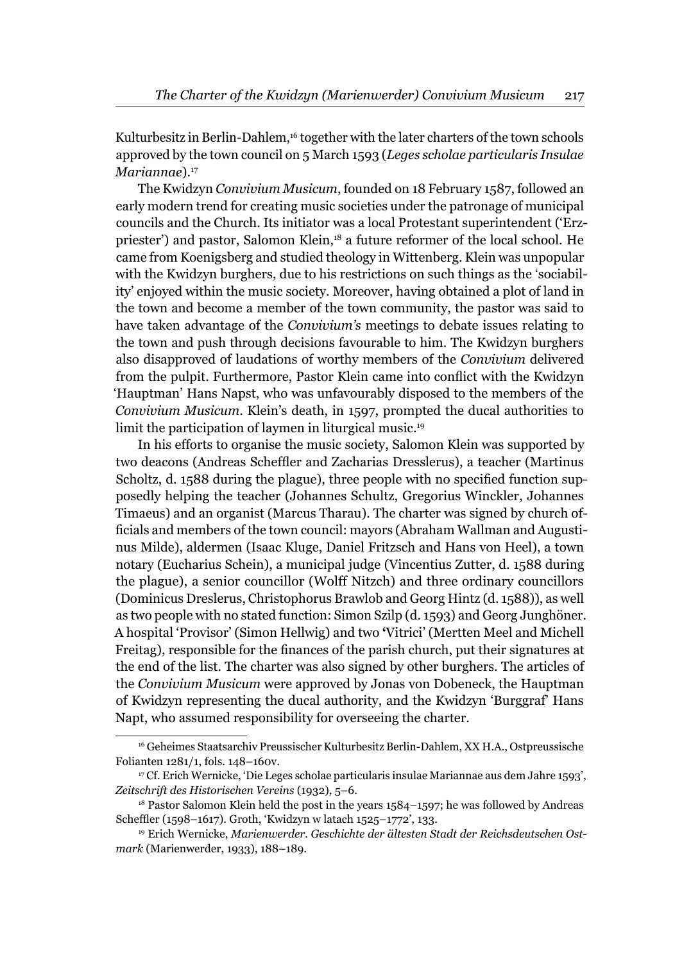Kulturbesitz in Berlin-Dahlem,<sup>16</sup> together with the later charters of the town schools approved by the town council on 5 March 1593 (*Leges scholae particularis Insulae Mariannae*).<sup>17</sup>

The Kwidzyn *Convivium Musicum*, founded on 18 February 1587, followed an early modern trend for creating music societies under the patronage of municipal councils and the Church. Its initiator was a local Protestant superintendent ('Erzpriester') and pastor, Salomon Klein,<sup>18</sup> a future reformer of the local school. He came from Koenigsberg and studied theology in Wittenberg. Klein was unpopular with the Kwidzyn burghers, due to his restrictions on such things as the 'sociability' enjoyed within the music society. Moreover, having obtained a plot of land in the town and become a member of the town community, the pastor was said to have taken advantage of the *Convivium's* meetings to debate issues relating to the town and push through decisions favourable to him. The Kwidzyn burghers also disapproved of laudations of worthy members of the *Convivium* delivered from the pulpit. Furthermore, Pastor Klein came into conflict with the Kwidzyn 'Hauptman' Hans Napst, who was unfavourably disposed to the members of the *Convivium Musicum*. Klein's death, in 1597, prompted the ducal authorities to limit the participation of laymen in liturgical music.19

In his efforts to organise the music society, Salomon Klein was supported by two deacons (Andreas Scheffler and Zacharias Dresslerus), a teacher (Martinus Scholtz, d. 1588 during the plague), three people with no specified function supposedly helping the teacher (Johannes Schultz, Gregorius Winckler, Johannes Timaeus) and an organist (Marcus Tharau). The charter was signed by church officials and members of the town council: mayors (Abraham Wallman and Augustinus Milde), aldermen (Isaac Kluge, Daniel Fritzsch and Hans von Heel), a town notary (Eucharius Schein), a municipal judge (Vincentius Zutter, d. 1588 during the plague), a senior councillor (Wolff Nitzch) and three ordinary councillors (Dominicus Dreslerus, Christophorus Brawlob and Georg Hintz (d. 1588)), as well as two people with no stated function: Simon Szilp (d. 1593) and Georg Junghöner. A hospital 'Provisor' (Simon Hellwig) and two **'**Vitrici' (Mertten Meel and Michell Freitag), responsible for the finances of the parish church, put their signatures at the end of the list. The charter was also signed by other burghers. The articles of the *Convivium Musicum* were approved by Jonas von Dobeneck, the Hauptman of Kwidzyn representing the ducal authority, and the Kwidzyn 'Burggraf' Hans Napt, who assumed responsibility for overseeing the charter.

<sup>16</sup> Geheimes Staatsarchiv Preussischer Kulturbesitz Berlin-Dahlem, XX H.A., Ostpreussische Folianten 1281/1, fols. 148–160v.

<sup>17</sup> Cf. Erich Wernicke, 'Die Leges scholae particularis insulae Mariannae aus dem Jahre 1593', *Zeitschrift des Historischen Vereins* (1932), 5–6.

<sup>&</sup>lt;sup>18</sup> Pastor Salomon Klein held the post in the years 1584–1597; he was followed by Andreas Scheffler (1598–1617). Groth, 'Kwidzyn w latach 1525–1772', 133.

<sup>19</sup> Erich Wernicke, *Marienwerder. Geschichte der ältesten Stadt der Reichsdeutschen Ostmark* (Marienwerder, 1933), 188–189.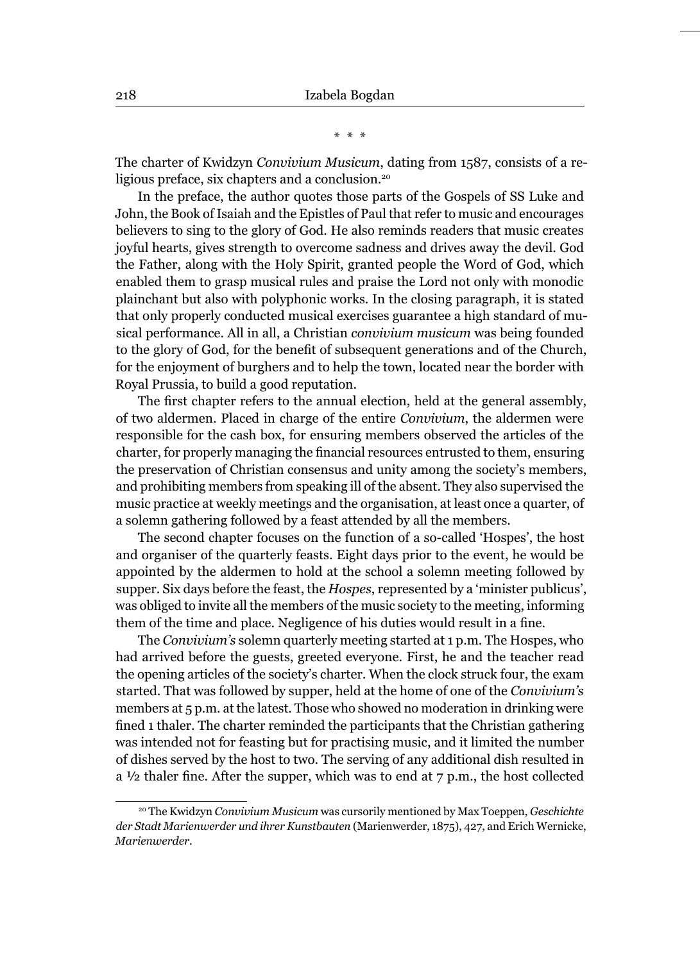\* \* \*

The charter of Kwidzyn *Convivium Musicum*, dating from 1587, consists of a religious preface, six chapters and a conclusion.<sup>20</sup>

In the preface, the author quotes those parts of the Gospels of SS Luke and John, the Book of Isaiah and the Epistles of Paul that refer to music and encourages believers to sing to the glory of God. He also reminds readers that music creates joyful hearts, gives strength to overcome sadness and drives away the devil. God the Father, along with the Holy Spirit, granted people the Word of God, which enabled them to grasp musical rules and praise the Lord not only with monodic plainchant but also with polyphonic works. In the closing paragraph, it is stated that only properly conducted musical exercises guarantee a high standard of musical performance. All in all, a Christian *convivium musicum* was being founded to the glory of God, for the benefit of subsequent generations and of the Church, for the enjoyment of burghers and to help the town, located near the border with Royal Prussia, to build a good reputation.

The first chapter refers to the annual election, held at the general assembly, of two aldermen. Placed in charge of the entire *Convivium*, the aldermen were responsible for the cash box, for ensuring members observed the articles of the charter, for properly managing the financial resources entrusted to them, ensuring the preservation of Christian consensus and unity among the society's members, and prohibiting members from speaking ill of the absent. They also supervised the music practice at weekly meetings and the organisation, at least once a quarter, of a solemn gathering followed by a feast attended by all the members.

The second chapter focuses on the function of a so-called 'Hospes', the host and organiser of the quarterly feasts. Eight days prior to the event, he would be appointed by the aldermen to hold at the school a solemn meeting followed by supper. Six days before the feast, the *Hospes*, represented by a 'minister publicus', was obliged to invite all the members of the music society to the meeting, informing them of the time and place. Negligence of his duties would result in a fine.

The *Convivium's* solemn quarterly meeting started at 1 p.m. The Hospes, who had arrived before the guests, greeted everyone. First, he and the teacher read the opening articles of the society's charter. When the clock struck four, the exam started. That was followed by supper, held at the home of one of the *Convivium's* members at 5 p.m. at the latest. Those who showed no moderation in drinking were fined 1 thaler. The charter reminded the participants that the Christian gathering was intended not for feasting but for practising music, and it limited the number of dishes served by the host to two. The serving of any additional dish resulted in a  $\frac{1}{2}$  thaler fine. After the supper, which was to end at 7 p.m., the host collected

<sup>20</sup> The Kwidzyn *Convivium Musicum* was cursorily mentioned by Max Toeppen, *Geschichte der Stadt Marienwerder und ihrer Kunstbauten* (Marienwerder, 1875), 427, and Erich Wernicke, *Marienwerder*.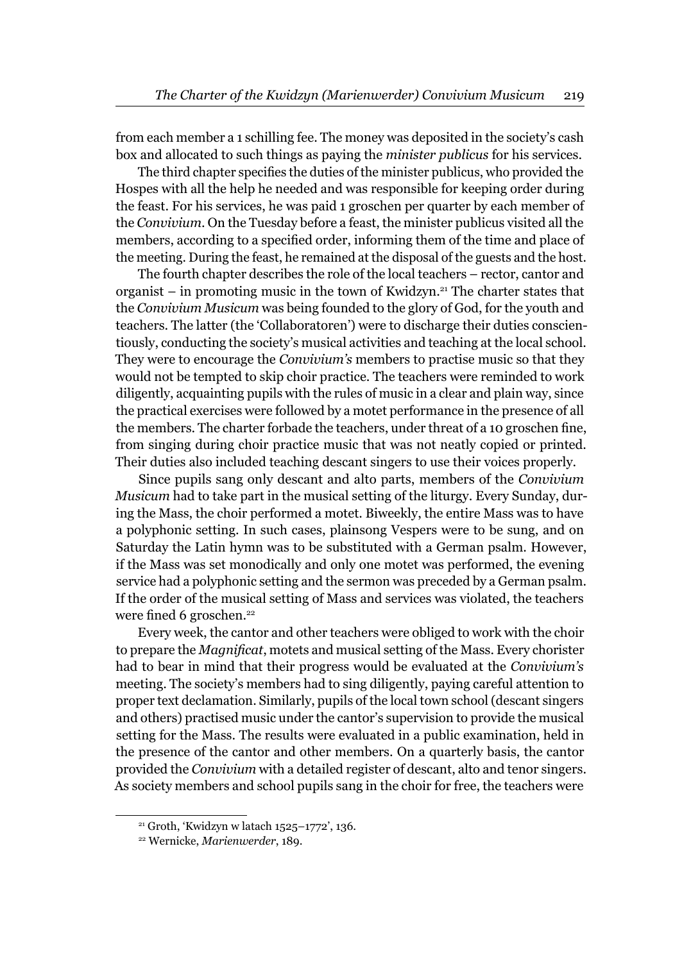from each member a 1 schilling fee. The money was deposited in the society's cash box and allocated to such things as paying the *minister publicus* for his services.

The third chapter specifies the duties of the minister publicus, who provided the Hospes with all the help he needed and was responsible for keeping order during the feast. For his services, he was paid 1 groschen per quarter by each member of the *Convivium*. On the Tuesday before a feast, the minister publicus visited all the members, according to a specified order, informing them of the time and place of the meeting. During the feast, he remained at the disposal of the guests and the host.

The fourth chapter describes the role of the local teachers – rector, cantor and organist – in promoting music in the town of Kwidzyn.<sup>21</sup> The charter states that the *Convivium Musicum* was being founded to the glory of God, for the youth and teachers. The latter (the 'Collaboratoren') were to discharge their duties conscientiously, conducting the society's musical activities and teaching at the local school. They were to encourage the *Convivium's* members to practise music so that they would not be tempted to skip choir practice. The teachers were reminded to work diligently, acquainting pupils with the rules of music in a clear and plain way, since the practical exercises were followed by a motet performance in the presence of all the members. The charter forbade the teachers, under threat of a 10 groschen fine, from singing during choir practice music that was not neatly copied or printed. Their duties also included teaching descant singers to use their voices properly.

Since pupils sang only descant and alto parts, members of the *Convivium Musicum* had to take part in the musical setting of the liturgy. Every Sunday, during the Mass, the choir performed a motet. Biweekly, the entire Mass was to have a polyphonic setting. In such cases, plainsong Vespers were to be sung, and on Saturday the Latin hymn was to be substituted with a German psalm. However, if the Mass was set monodically and only one motet was performed, the evening service had a polyphonic setting and the sermon was preceded by a German psalm. If the order of the musical setting of Mass and services was violated, the teachers were fined 6 groschen.<sup>22</sup>

Every week, the cantor and other teachers were obliged to work with the choir to prepare the *Magnificat*, motets and musical setting of the Mass. Every chorister had to bear in mind that their progress would be evaluated at the *Convivium's* meeting. The society's members had to sing diligently, paying careful attention to proper text declamation. Similarly, pupils of the local town school (descant singers and others) practised music under the cantor's supervision to provide the musical setting for the Mass. The results were evaluated in a public examination, held in the presence of the cantor and other members. On a quarterly basis, the cantor provided the *Convivium* with a detailed register of descant, alto and tenor singers. As society members and school pupils sang in the choir for free, the teachers were

<sup>21</sup> Groth, 'Kwidzyn w latach 1525–1772', 136.

<sup>22</sup> Wernicke, *Marienwerder*, 189.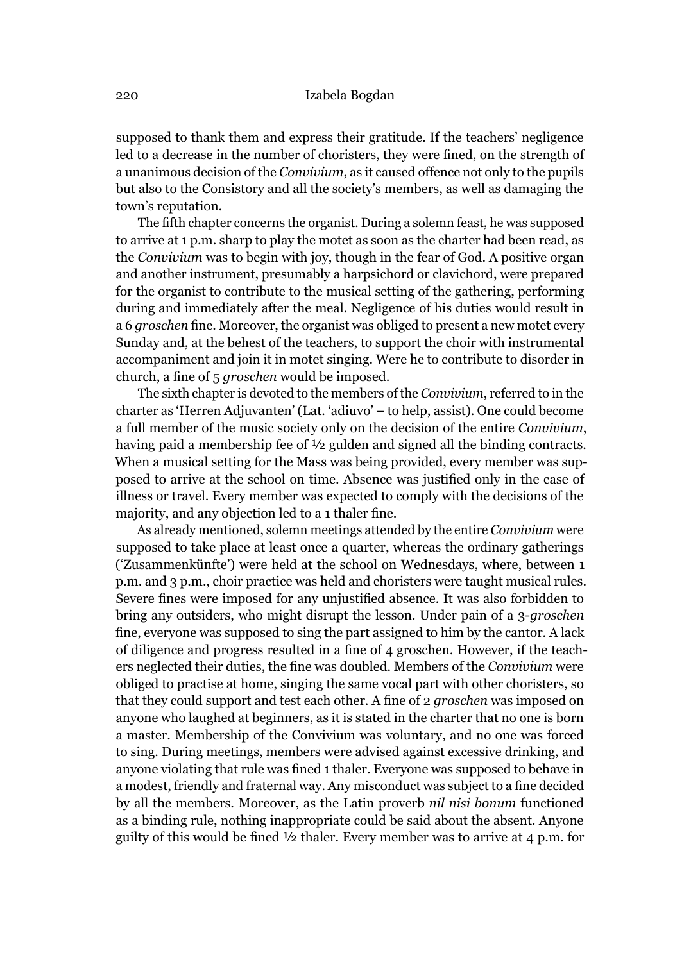supposed to thank them and express their gratitude. If the teachers' negligence led to a decrease in the number of choristers, they were fined, on the strength of a unanimous decision of the *Convivium*, as it caused offence not only to the pupils but also to the Consistory and all the society's members, as well as damaging the town's reputation.

The fifth chapter concerns the organist. During a solemn feast, he was supposed to arrive at 1 p.m. sharp to play the motet as soon as the charter had been read, as the *Convivium* was to begin with joy, though in the fear of God. A positive organ and another instrument, presumably a harpsichord or clavichord, were prepared for the organist to contribute to the musical setting of the gathering, performing during and immediately after the meal. Negligence of his duties would result in a 6 *groschen* fine. Moreover, the organist was obliged to present a new motet every Sunday and, at the behest of the teachers, to support the choir with instrumental accompaniment and join it in motet singing. Were he to contribute to disorder in church, a fine of 5 *groschen* would be imposed.

The sixth chapter is devoted to the members of the *Convivium*, referred to in the charter as 'Herren Adjuvanten' (Lat. 'adiuvo' – to help, assist). One could become a full member of the music society only on the decision of the entire *Convivium*, having paid a membership fee of ½ gulden and signed all the binding contracts. When a musical setting for the Mass was being provided, every member was supposed to arrive at the school on time. Absence was justified only in the case of illness or travel. Every member was expected to comply with the decisions of the majority, and any objection led to a 1 thaler fine.

As already mentioned, solemn meetings attended by the entire *Convivium* were supposed to take place at least once a quarter, whereas the ordinary gatherings ('Zusammenkünfte') were held at the school on Wednesdays, where, between 1 p.m. and 3 p.m., choir practice was held and choristers were taught musical rules. Severe fines were imposed for any unjustified absence. It was also forbidden to bring any outsiders, who might disrupt the lesson. Under pain of a 3-*groschen* fine, everyone was supposed to sing the part assigned to him by the cantor. A lack of diligence and progress resulted in a fine of 4 groschen. However, if the teachers neglected their duties, the fine was doubled. Members of the *Convivium* were obliged to practise at home, singing the same vocal part with other choristers, so that they could support and test each other. A fine of 2 *groschen* was imposed on anyone who laughed at beginners, as it is stated in the charter that no one is born a master. Membership of the Convivium was voluntary, and no one was forced to sing. During meetings, members were advised against excessive drinking, and anyone violating that rule was fined 1 thaler. Everyone was supposed to behave in a modest, friendly and fraternal way. Any misconduct was subject to a fine decided by all the members. Moreover, as the Latin proverb *nil nisi bonum* functioned as a binding rule, nothing inappropriate could be said about the absent. Anyone guilty of this would be fined  $\frac{1}{2}$  thaler. Every member was to arrive at 4 p.m. for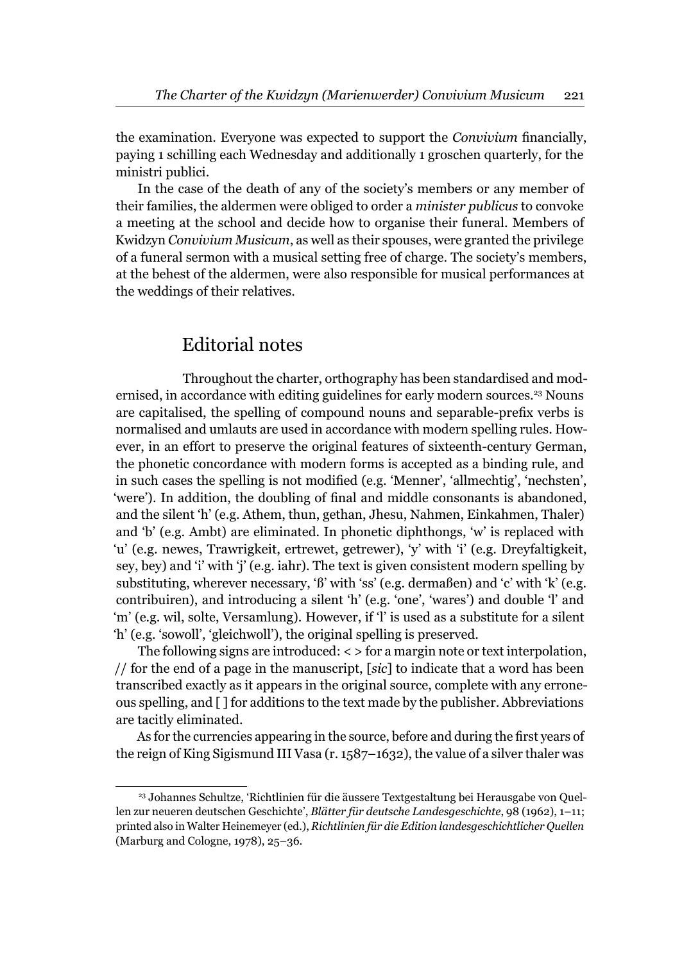the examination. Everyone was expected to support the *Convivium* financially, paying 1 schilling each Wednesday and additionally 1 groschen quarterly, for the ministri publici.

In the case of the death of any of the society's members or any member of their families, the aldermen were obliged to order a *minister publicus* to convoke a meeting at the school and decide how to organise their funeral. Members of Kwidzyn *Convivium Musicum*, as well as their spouses, were granted the privilege of a funeral sermon with a musical setting free of charge. The society's members, at the behest of the aldermen, were also responsible for musical performances at the weddings of their relatives.

## Editorial notes

Throughout the charter, orthography has been standardised and modernised, in accordance with editing guidelines for early modern sources.23 Nouns are capitalised, the spelling of compound nouns and separable-prefix verbs is normalised and umlauts are used in accordance with modern spelling rules. However, in an effort to preserve the original features of sixteenth-century German, the phonetic concordance with modern forms is accepted as a binding rule, and in such cases the spelling is not modified (e.g. 'Menner', 'allmechtig', 'nechsten', 'were'). In addition, the doubling of final and middle consonants is abandoned, and the silent 'h' (e.g. Athem, thun, gethan, Jhesu, Nahmen, Einkahmen, Thaler) and 'b' (e.g. Ambt) are eliminated. In phonetic diphthongs, 'w' is replaced with 'u' (e.g. newes, Trawrigkeit, ertrewet, getrewer), 'y' with 'i' (e.g. Dreyfaltigkeit, sey, bey) and 'i' with 'j' (e.g. iahr). The text is given consistent modern spelling by substituting, wherever necessary, 'ß' with 'ss' (e.g. dermaßen) and 'c' with 'k' (e.g. contribuiren), and introducing a silent 'h' (e.g. 'one', 'wares') and double 'l' and 'm' (e.g. wil, solte, Versamlung). However, if 'l' is used as a substitute for a silent 'h' (e.g. 'sowoll', 'gleichwoll'), the original spelling is preserved.

The following signs are introduced: < > for a margin note or text interpolation, // for the end of a page in the manuscript, [*sic*] to indicate that a word has been transcribed exactly as it appears in the original source, complete with any erroneous spelling, and [ ] for additions to the text made by the publisher. Abbreviations are tacitly eliminated.

As for the currencies appearing in the source, before and during the first years of the reign of King Sigismund III Vasa (r. 1587–1632), the value of a silver thaler was

<sup>23</sup> Johannes Schultze, 'Richtlinien für die äussere Textgestaltung bei Herausgabe von Quellen zur neueren deutschen Geschichte', *Blätter für deutsche Landesgeschichte*, 98 (1962), 1–11; printed also in Walter Heinemeyer (ed.), *Richtlinien für die Edition landesgeschichtlicher Quellen* (Marburg and Cologne, 1978), 25–36.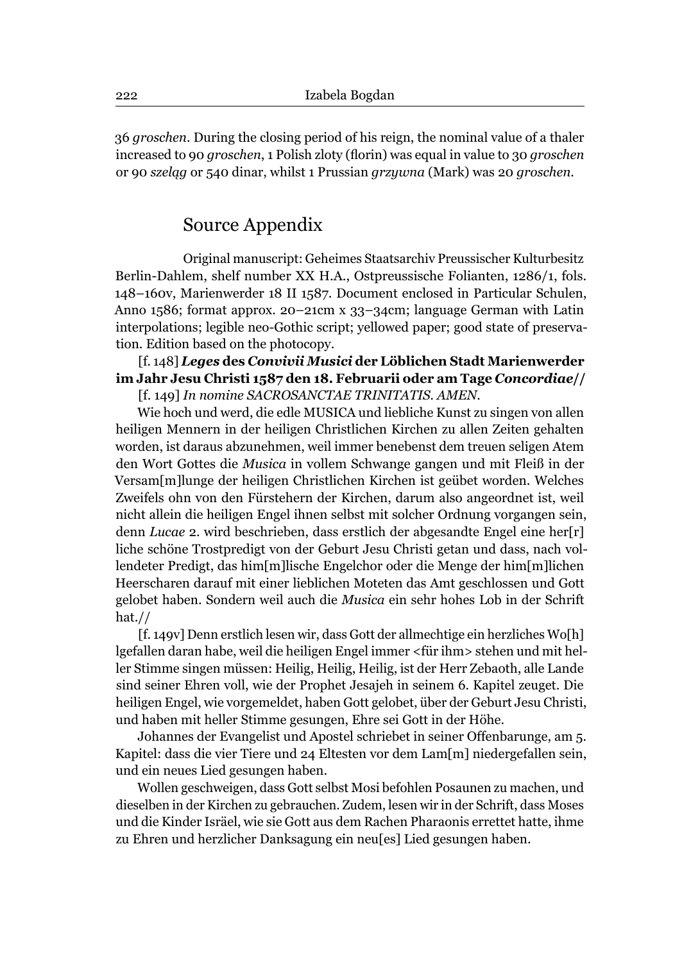36 *groschen*. During the closing period of his reign, the nominal value of a thaler increased to 90 *groschen*, 1 Polish zloty (florin) was equal in value to 30 *groschen* or 90 *szeląg* or 540 dinar, whilst 1 Prussian *grzywna* (Mark) was 20 *groschen*.

## Source Appendix

Original manuscript: Geheimes Staatsarchiv Preussischer Kulturbesitz Berlin-Dahlem, shelf number XX H.A., Ostpreussische Folianten, 1286/1, fols. 148–160v, Marienwerder 18 II 1587. Document enclosed in Particular Schulen, Anno 1586; format approx. 20–21cm x 33–34cm; language German with Latin interpolations; legible neo-Gothic script; yellowed paper; good state of preservation. Edition based on the photocopy.

#### [f. 148] *Leges* **des** *Convivii Musici* **der Löblichen Stadt Marienwerder im Jahr Jesu Christi 1587 den 18. Februarii oder am Tage** *Concordiae***//**  [f. 149] *In nomine SACROSANCTAE TRINITATIS. AMEN*.

Wie hoch und werd, die edle MUSICA und liebliche Kunst zu singen von allen heiligen Mennern in der heiligen Christlichen Kirchen zu allen Zeiten gehalten worden, ist daraus abzunehmen, weil immer benebenst dem treuen seligen Atem den Wort Gottes die *Musica* in vollem Schwange gangen und mit Fleiß in der Versam[m]lunge der heiligen Christlichen Kirchen ist geübet worden. Welches Zweifels ohn von den Fürstehern der Kirchen, darum also angeordnet ist, weil nicht allein die heiligen Engel ihnen selbst mit solcher Ordnung vorgangen sein, denn *Lucae* 2. wird beschrieben, dass erstlich der abgesandte Engel eine her[r] liche schöne Trostpredigt von der Geburt Jesu Christi getan und dass, nach vollendeter Predigt, das him[m]lische Engelchor oder die Menge der him[m]lichen Heerscharen darauf mit einer lieblichen Moteten das Amt geschlossen und Gott gelobet haben. Sondern weil auch die *Musica* ein sehr hohes Lob in der Schrift hat.//

[f. 149v] Denn erstlich lesen wir, dass Gott der allmechtige ein herzliches Wo[h] lgefallen daran habe, weil die heiligen Engel immer <für ihm> stehen und mit heller Stimme singen müssen: Heilig, Heilig, Heilig, ist der Herr Zebaoth, alle Lande sind seiner Ehren voll, wie der Prophet Jesajeh in seinem 6. Kapitel zeuget. Die heiligen Engel, wie vorgemeldet, haben Gott gelobet, über der Geburt Jesu Christi, und haben mit heller Stimme gesungen, Ehre sei Gott in der Höhe.

Johannes der Evangelist und Apostel schriebet in seiner Offenbarunge, am 5. Kapitel: dass die vier Tiere und 24 Eltesten vor dem Lam[m] niedergefallen sein, und ein neues Lied gesungen haben.

Wollen geschweigen, dass Gott selbst Mosi befohlen Posaunen zu machen, und dieselben in der Kirchen zu gebrauchen. Zudem, lesen wir in der Schrift, dass Moses und die Kinder Isräel, wie sie Gott aus dem Rachen Pharaonis errettet hatte, ihme zu Ehren und herzlicher Danksagung ein neu[es] Lied gesungen haben.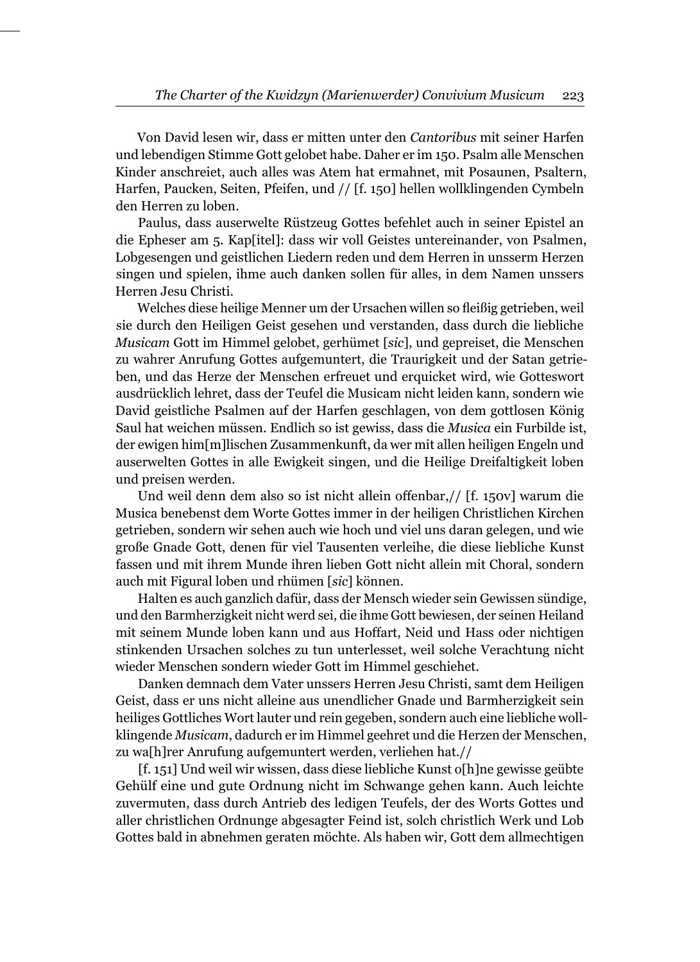Von David lesen wir, dass er mitten unter den *Cantoribus* mit seiner Harfen und lebendigen Stimme Gott gelobet habe. Daher er im 150. Psalm alle Menschen Kinder anschreiet, auch alles was Atem hat ermahnet, mit Posaunen, Psaltern, Harfen, Paucken, Seiten, Pfeifen, und // [f. 150] hellen wollklingenden Cymbeln den Herren zu loben.

Paulus, dass auserwelte Rüstzeug Gottes befehlet auch in seiner Epistel an die Epheser am 5. Kap[itel]: dass wir voll Geistes untereinander, von Psalmen, Lobgesengen und geistlichen Liedern reden und dem Herren in unsserm Herzen singen und spielen, ihme auch danken sollen für alles, in dem Namen unssers Herren Jesu Christi.

Welches diese heilige Menner um der Ursachen willen so fleißig getrieben, weil sie durch den Heiligen Geist gesehen und verstanden, dass durch die liebliche *Musicam* Gott im Himmel gelobet, gerhümet [*sic*], und gepreiset, die Menschen zu wahrer Anrufung Gottes aufgemuntert, die Traurigkeit und der Satan getrieben, und das Herze der Menschen erfreuet und erquicket wird, wie Gotteswort ausdrücklich lehret, dass der Teufel die Musicam nicht leiden kann, sondern wie David geistliche Psalmen auf der Harfen geschlagen, von dem gottlosen König Saul hat weichen müssen. Endlich so ist gewiss, dass die *Musica* ein Furbilde ist, der ewigen him[m]lischen Zusammenkunft, da wer mit allen heiligen Engeln und auserwelten Gottes in alle Ewigkeit singen, und die Heilige Dreifaltigkeit loben und preisen werden.

Und weil denn dem also so ist nicht allein offenbar,// [f. 150v] warum die Musica benebenst dem Worte Gottes immer in der heiligen Christlichen Kirchen getrieben, sondern wir sehen auch wie hoch und viel uns daran gelegen, und wie große Gnade Gott, denen für viel Tausenten verleihe, die diese liebliche Kunst fassen und mit ihrem Munde ihren lieben Gott nicht allein mit Choral, sondern auch mit Figural loben und rhümen [*sic*] können.

Halten es auch ganzlich dafür, dass der Mensch wieder sein Gewissen sündige, und den Barmherzigkeit nicht werd sei, die ihme Gott bewiesen, der seinen Heiland mit seinem Munde loben kann und aus Hoffart, Neid und Hass oder nichtigen stinkenden Ursachen solches zu tun unterlesset, weil solche Verachtung nicht wieder Menschen sondern wieder Gott im Himmel geschiehet.

Danken demnach dem Vater unssers Herren Jesu Christi, samt dem Heiligen Geist, dass er uns nicht alleine aus unendlicher Gnade und Barmherzigkeit sein heiliges Gottliches Wort lauter und rein gegeben, sondern auch eine liebliche wollklingende *Musicam*, dadurch er im Himmel geehret und die Herzen der Menschen, zu wa[h]rer Anrufung aufgemuntert werden, verliehen hat.//

[f. 151] Und weil wir wissen, dass diese liebliche Kunst o[h]ne gewisse geübte Gehülf eine und gute Ordnung nicht im Schwange gehen kann. Auch leichte zuvermuten, dass durch Antrieb des ledigen Teufels, der des Worts Gottes und aller christlichen Ordnunge abgesagter Feind ist, solch christlich Werk und Lob Gottes bald in abnehmen geraten möchte. Als haben wir, Gott dem allmechtigen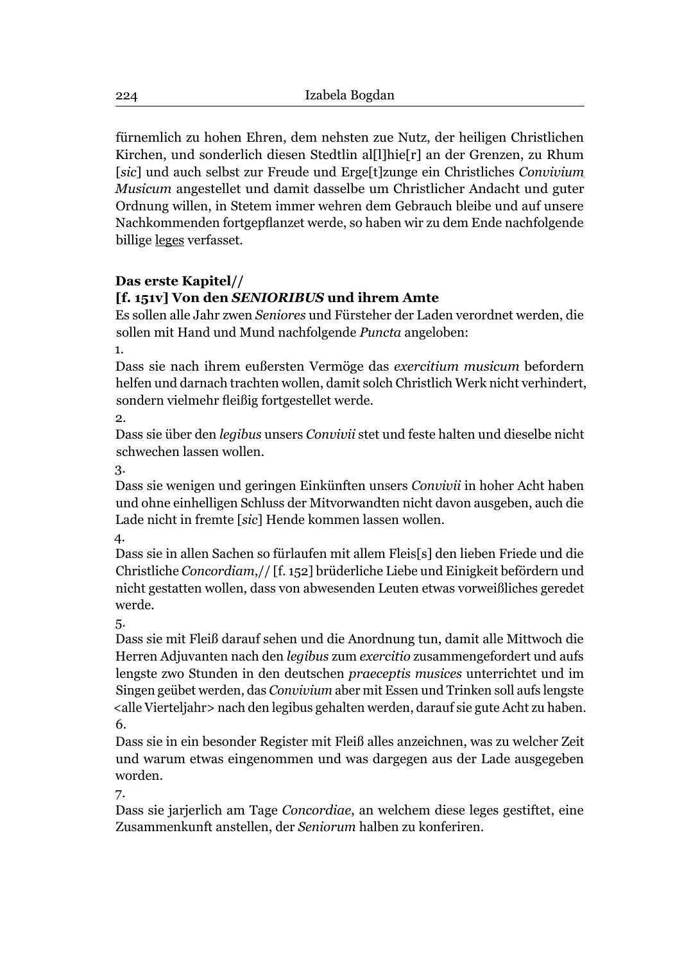fürnemlich zu hohen Ehren, dem nehsten zue Nutz, der heiligen Christlichen Kirchen, und sonderlich diesen Stedtlin al[l]hie[r] an der Grenzen, zu Rhum [*sic*] und auch selbst zur Freude und Erge[t]zunge ein Christliches *Convivium Musicum* angestellet und damit dasselbe um Christlicher Andacht und guter Ordnung willen, in Stetem immer wehren dem Gebrauch bleibe und auf unsere Nachkommenden fortgepflanzet werde, so haben wir zu dem Ende nachfolgende billige leges verfasset.

#### **Das erste Kapitel//**

## **[f. 151v] Von den** *SENIORIBUS* **und ihrem Amte**

Es sollen alle Jahr zwen *Seniores* und Fürsteher der Laden verordnet werden, die sollen mit Hand und Mund nachfolgende *Puncta* angeloben:

1.

Dass sie nach ihrem eußersten Vermöge das *exercitium musicum* befordern helfen und darnach trachten wollen, damit solch Christlich Werk nicht verhindert, sondern vielmehr fleißig fortgestellet werde.

2.

Dass sie über den *legibus* unsers *Convivii* stet und feste halten und dieselbe nicht schwechen lassen wollen.

3.

Dass sie wenigen und geringen Einkünften unsers *Convivii* in hoher Acht haben und ohne einhelligen Schluss der Mitvorwandten nicht davon ausgeben, auch die Lade nicht in fremte [*sic*] Hende kommen lassen wollen.

4.

Dass sie in allen Sachen so fürlaufen mit allem Fleis[s] den lieben Friede und die Christliche *Concordiam*,// [f. 152] brüderliche Liebe und Einigkeit befördern und nicht gestatten wollen, dass von abwesenden Leuten etwas vorweißliches geredet werde.

5.

Dass sie mit Fleiß darauf sehen und die Anordnung tun, damit alle Mittwoch die Herren Adjuvanten nach den *legibus* zum *exercitio* zusammengefordert und aufs lengste zwo Stunden in den deutschen *praeceptis musices* unterrichtet und im Singen geübet werden, das *Convivium* aber mit Essen und Trinken soll aufs lengste <alle Vierteljahr> nach den legibus gehalten werden, darauf sie gute Acht zu haben. 6.

Dass sie in ein besonder Register mit Fleiß alles anzeichnen, was zu welcher Zeit und warum etwas eingenommen und was dargegen aus der Lade ausgegeben worden.

7.

Dass sie jarjerlich am Tage *Concordiae*, an welchem diese leges gestiftet, eine Zusammenkunft anstellen, der *Seniorum* halben zu konferiren.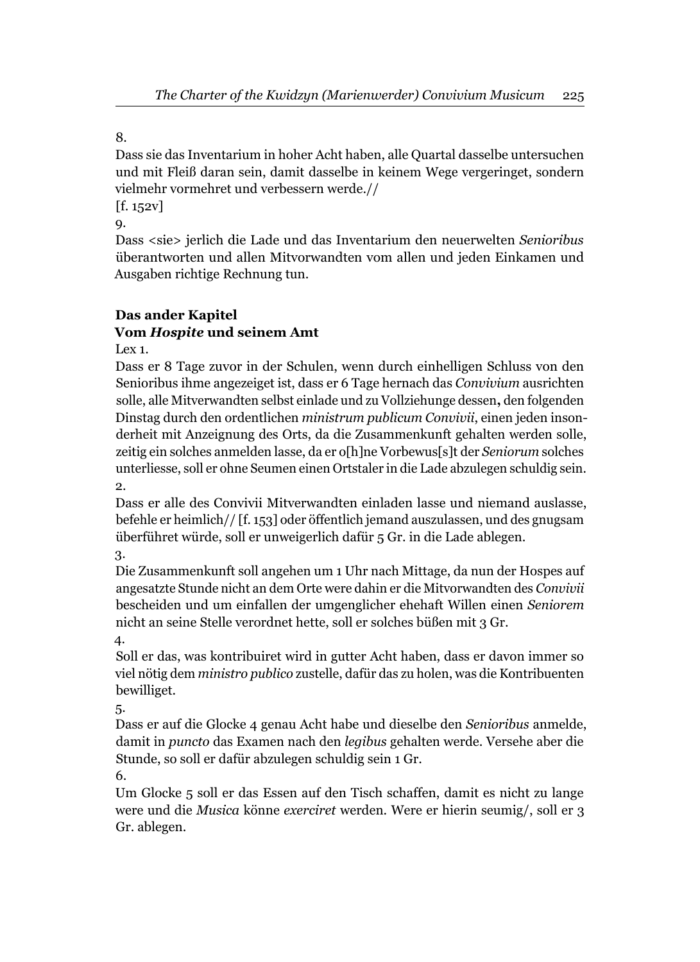Dass sie das Inventarium in hoher Acht haben, alle Quartal dasselbe untersuchen und mit Fleiß daran sein, damit dasselbe in keinem Wege vergeringet, sondern vielmehr vormehret und verbessern werde.//

 $[f. 152v]$ 

9.

Dass <sie> jerlich die Lade und das Inventarium den neuerwelten *Senioribus* überantworten und allen Mitvorwandten vom allen und jeden Einkamen und Ausgaben richtige Rechnung tun.

## **Das ander Kapitel**

## **Vom** *Hospite* **und seinem Amt**

Lex 1.

Dass er 8 Tage zuvor in der Schulen, wenn durch einhelligen Schluss von den Senioribus ihme angezeiget ist, dass er 6 Tage hernach das *Convivium* ausrichten solle, alle Mitverwandten selbst einlade und zu Vollziehunge dessen**,** den folgenden Dinstag durch den ordentlichen *ministrum publicum Convivii*, einen jeden insonderheit mit Anzeignung des Orts, da die Zusammenkunft gehalten werden solle, zeitig ein solches anmelden lasse, da er o[h]ne Vorbewus[s]t der *Seniorum* solches unterliesse, soll er ohne Seumen einen Ortstaler in die Lade abzulegen schuldig sein.  $\Omega$ 

Dass er alle des Convivii Mitverwandten einladen lasse und niemand auslasse, befehle er heimlich// [f. 153] oder öffentlich jemand auszulassen, und des gnugsam überführet würde, soll er unweigerlich dafür 5 Gr. in die Lade ablegen.

3.

Die Zusammenkunft soll angehen um 1 Uhr nach Mittage, da nun der Hospes auf angesatzte Stunde nicht an dem Orte were dahin er die Mitvorwandten des *Convivii* bescheiden und um einfallen der umgenglicher ehehaft Willen einen *Seniorem* nicht an seine Stelle verordnet hette, soll er solches büßen mit 3 Gr. 4.

Soll er das, was kontribuiret wird in gutter Acht haben, dass er davon immer so viel nötig dem *ministro publico* zustelle, dafür das zu holen, was die Kontribuenten bewilliget.

5.

Dass er auf die Glocke 4 genau Acht habe und dieselbe den *Senioribus* anmelde, damit in *puncto* das Examen nach den *legibus* gehalten werde. Versehe aber die Stunde, so soll er dafür abzulegen schuldig sein 1 Gr.

6.

Um Glocke 5 soll er das Essen auf den Tisch schaffen, damit es nicht zu lange were und die *Musica* könne *exerciret* werden. Were er hierin seumig/, soll er 3 Gr. ablegen.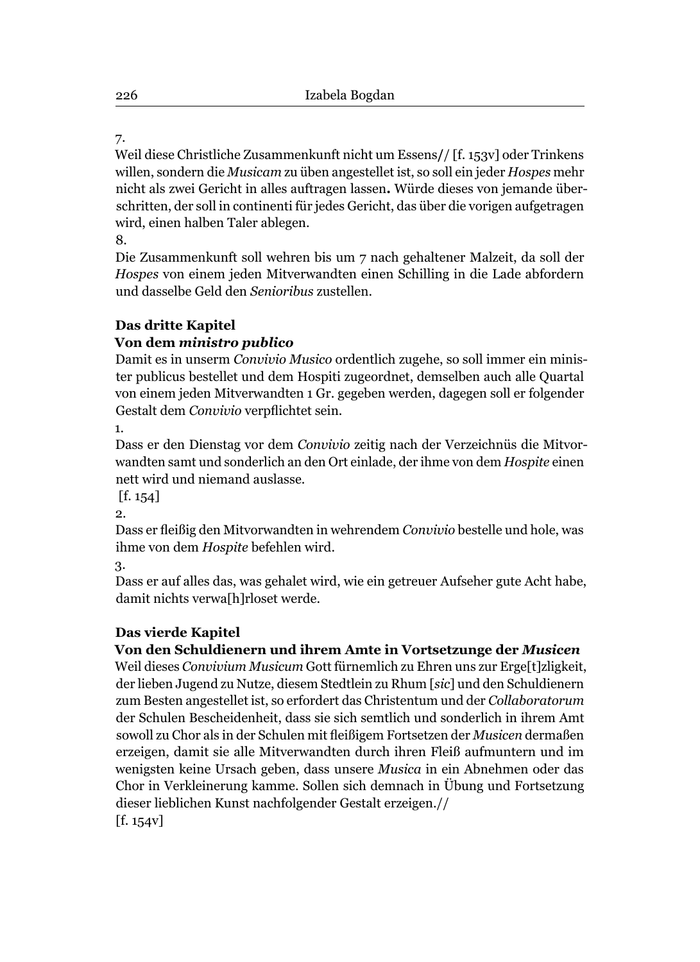Weil diese Christliche Zusammenkunft nicht um Essens**/**/ [f. 153v] oder Trinkens willen, sondern die *Musicam* zu üben angestellet ist, so soll ein jeder *Hospes* mehr nicht als zwei Gericht in alles auftragen lassen**.** Würde dieses von jemande überschritten, der soll in continenti für jedes Gericht, das über die vorigen aufgetragen wird, einen halben Taler ablegen.

8.

Die Zusammenkunft soll wehren bis um 7 nach gehaltener Malzeit, da soll der *Hospes* von einem jeden Mitverwandten einen Schilling in die Lade abfordern und dasselbe Geld den *Senioribus* zustellen.

## **Das dritte Kapitel**

## **Von dem** *ministro publico*

Damit es in unserm *Convivio Musico* ordentlich zugehe, so soll immer ein minister publicus bestellet und dem Hospiti zugeordnet, demselben auch alle Quartal von einem jeden Mitverwandten 1 Gr. gegeben werden, dagegen soll er folgender Gestalt dem *Convivio* verpflichtet sein.

1.

Dass er den Dienstag vor dem *Convivio* zeitig nach der Verzeichnüs die Mitvorwandten samt und sonderlich an den Ort einlade, der ihme von dem *Hospite* einen nett wird und niemand auslasse.

[f. 154]

2.

Dass er fleißig den Mitvorwandten in wehrendem *Convivio* bestelle und hole, was ihme von dem *Hospite* befehlen wird.

3.

Dass er auf alles das, was gehalet wird, wie ein getreuer Aufseher gute Acht habe, damit nichts verwa[h]rloset werde.

## **Das vierde Kapitel**

## **Von den Schuldienern und ihrem Amte in Vortsetzunge der** *Musicen*

Weil dieses *Convivium Musicum* Gott fürnemlich zu Ehren uns zur Erge[t]zligkeit, der lieben Jugend zu Nutze, diesem Stedtlein zu Rhum [*sic*] und den Schuldienern zum Besten angestellet ist, so erfordert das Christentum und der *Collaboratorum* der Schulen Bescheidenheit, dass sie sich semtlich und sonderlich in ihrem Amt sowoll zu Chor als in der Schulen mit fleißigem Fortsetzen der *Musicen* dermaßen erzeigen, damit sie alle Mitverwandten durch ihren Fleiß aufmuntern und im wenigsten keine Ursach geben, dass unsere *Musica* in ein Abnehmen oder das Chor in Verkleinerung kamme. Sollen sich demnach in Übung und Fortsetzung dieser lieblichen Kunst nachfolgender Gestalt erzeigen.// [f. 154v]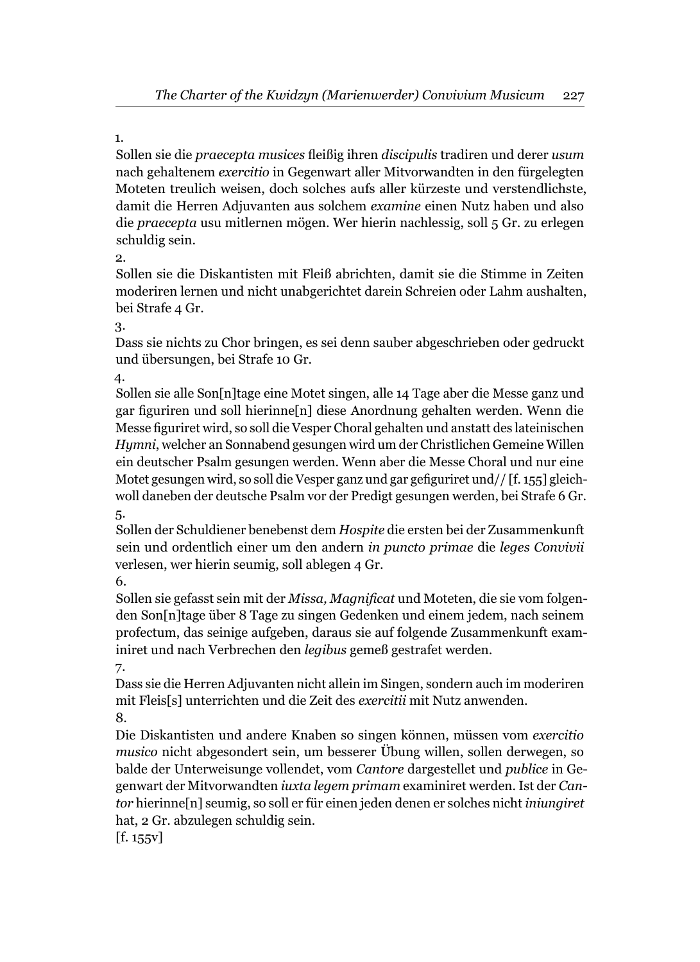Sollen sie die *praecepta musices* fl eißig ihren *discipulis* tradiren und derer *usum* nach gehaltenem *exercitio* in Gegenwart aller Mitvorwandten in den fürgelegten Moteten treulich weisen, doch solches aufs aller kürzeste und verstendlichste, damit die Herren Adjuvanten aus solchem *examine* einen Nutz haben und also die *praecepta* usu mitlernen mögen. Wer hierin nachlessig, soll 5 Gr. zu erlegen schuldig sein.

2.

Sollen sie die Diskantisten mit Fleiß abrichten, damit sie die Stimme in Zeiten moderiren lernen und nicht unabgerichtet darein Schreien oder Lahm aushalten, bei Strafe 4 Gr.

3.

Dass sie nichts zu Chor bringen, es sei denn sauber abgeschrieben oder gedruckt und übersungen, bei Strafe 10 Gr.

4.

Sollen sie alle Son[n]tage eine Motet singen, alle 14 Tage aber die Messe ganz und gar figuriren und soll hierinne[n] diese Anordnung gehalten werden. Wenn die Messe figuriret wird, so soll die Vesper Choral gehalten und anstatt des lateinischen *Hymni*, welcher an Sonnabend gesungen wird um der Christlichen Gemeine Willen ein deutscher Psalm gesungen werden. Wenn aber die Messe Choral und nur eine Motet gesungen wird, so soll die Vesper ganz und gar gefiguriret und //  $[f. 155]$  gleichwoll daneben der deutsche Psalm vor der Predigt gesungen werden, bei Strafe 6 Gr. 5.

Sollen der Schuldiener benebenst dem *Hospite* die ersten bei der Zusammenkunft sein und ordentlich einer um den andern *in puncto primae* die *leges Convivii* verlesen, wer hierin seumig, soll ablegen 4 Gr.

6.

Sollen sie gefasst sein mit der *Missa, Magnificat* und Moteten, die sie vom folgenden Son[n]tage über 8 Tage zu singen Gedenken und einem jedem, nach seinem profectum, das seinige aufgeben, daraus sie auf folgende Zusammenkunft examiniret und nach Verbrechen den *legibus* gemeß gestrafet werden.

7. Dass sie die Herren Adjuvanten nicht allein im Singen, sondern auch im moderiren mit Fleis[s] unterrichten und die Zeit des *exercitii* mit Nutz anwenden. 8.

Die Diskantisten und andere Knaben so singen können, müssen vom *exercitio musico* nicht abgesondert sein, um besserer Übung willen, sollen derwegen, so balde der Unterweisunge vollendet, vom *Cantore* dargestellet und *publice* in Gegenwart der Mitvorwandten *iuxta legem primam* examiniret werden. Ist der *Cantor* hierinne[n] seumig, so soll er für einen jeden denen er solches nicht *iniungiret* hat, 2 Gr. abzulegen schuldig sein.

[f. 155v]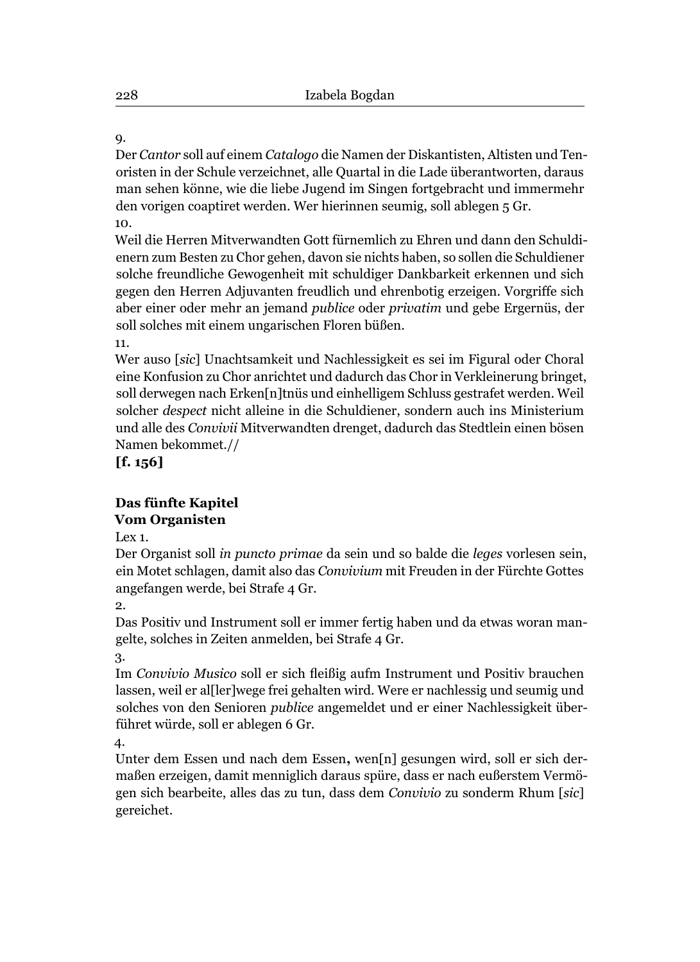Der *Cantor* soll auf einem *Catalogo* die Namen der Diskantisten, Altisten und Tenoristen in der Schule verzeichnet, alle Quartal in die Lade überantworten, daraus man sehen könne, wie die liebe Jugend im Singen fortgebracht und immermehr den vorigen coaptiret werden. Wer hierinnen seumig, soll ablegen 5 Gr. 10.

Weil die Herren Mitverwandten Gott fürnemlich zu Ehren und dann den Schuldienern zum Besten zu Chor gehen, davon sie nichts haben, so sollen die Schuldiener solche freundliche Gewogenheit mit schuldiger Dankbarkeit erkennen und sich gegen den Herren Adjuvanten freudlich und ehrenbotig erzeigen. Vorgriffe sich aber einer oder mehr an jemand *publice* oder *privatim* und gebe Ergernüs, der soll solches mit einem ungarischen Floren büßen.

11.

Wer auso [*sic*] Unachtsamkeit und Nachlessigkeit es sei im Figural oder Choral eine Konfusion zu Chor anrichtet und dadurch das Chor in Verkleinerung bringet, soll derwegen nach Erken[n]tnüs und einhelligem Schluss gestrafet werden. Weil solcher *despect* nicht alleine in die Schuldiener, sondern auch ins Ministerium und alle des *Convivii* Mitverwandten drenget, dadurch das Stedtlein einen bösen Namen bekommet.//

**[f. 156]**

#### **Das fünfte Kapitel Vom Organisten**

Lex 1.

Der Organist soll *in puncto primae* da sein und so balde die *leges* vorlesen sein, ein Motet schlagen, damit also das *Convivium* mit Freuden in der Fürchte Gottes angefangen werde, bei Strafe 4 Gr.

2.

Das Positiv und Instrument soll er immer fertig haben und da etwas woran mangelte, solches in Zeiten anmelden, bei Strafe 4 Gr.

3.

Im *Convivio Musico* soll er sich fleißig aufm Instrument und Positiv brauchen lassen, weil er al[ler]wege frei gehalten wird. Were er nachlessig und seumig und solches von den Senioren *publice* angemeldet und er einer Nachlessigkeit überführet würde, soll er ablegen 6 Gr.

4.

Unter dem Essen und nach dem Essen**,** wen[n] gesungen wird, soll er sich dermaßen erzeigen, damit menniglich daraus spüre, dass er nach eußerstem Vermögen sich bearbeite, alles das zu tun, dass dem *Convivio* zu sonderm Rhum [*sic*] gereichet.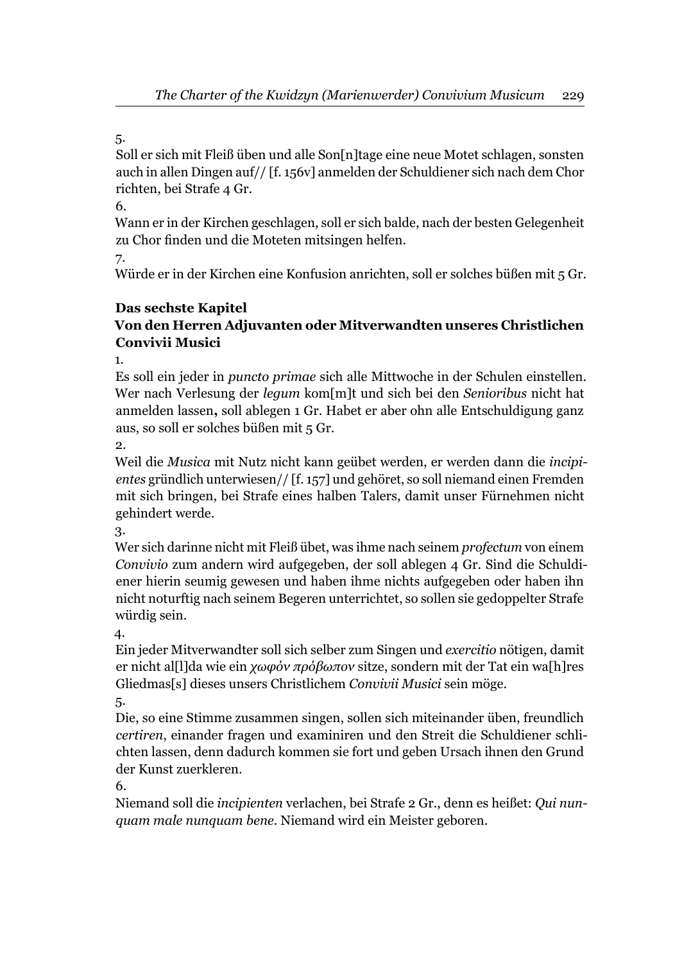Soll er sich mit Fleiß üben und alle Son[n]tage eine neue Motet schlagen, sonsten auch in allen Dingen auf// [f. 156v] anmelden der Schuldiener sich nach dem Chor richten, bei Strafe 4 Gr.

#### 6.

Wann er in der Kirchen geschlagen, soll er sich balde, nach der besten Gelegenheit zu Chor finden und die Moteten mitsingen helfen.

7.

Würde er in der Kirchen eine Konfusion anrichten, soll er solches büßen mit 5 Gr.

#### **Das sechste Kapitel**

## **Von den Herren Adjuvanten oder Mitverwandten unseres Christlichen Convivii Musici**

1.

Es soll ein jeder in *puncto primae* sich alle Mittwoche in der Schulen einstellen. Wer nach Verlesung der *legum* kom[m]t und sich bei den *Senioribus* nicht hat anmelden lassen**,** soll ablegen 1 Gr. Habet er aber ohn alle Entschuldigung ganz aus, so soll er solches büßen mit 5 Gr.

2.

Weil die *Musica* mit Nutz nicht kann geübet werden, er werden dann die *incipientes* gründlich unterwiesen// [f. 157] und gehöret, so soll niemand einen Fremden mit sich bringen, bei Strafe eines halben Talers, damit unser Fürnehmen nicht gehindert werde.

3.

Wer sich darinne nicht mit Fleiß übet, was ihme nach seinem *profectum* von einem *Convivio* zum andern wird aufgegeben, der soll ablegen 4 Gr. Sind die Schuldiener hierin seumig gewesen und haben ihme nichts aufgegeben oder haben ihn nicht noturftig nach seinem Begeren unterrichtet, so sollen sie gedoppelter Strafe würdig sein.

4.

Ein jeder Mitverwandter soll sich selber zum Singen und *exercitio* nötigen, damit er nicht al[l]da wie ein *χωφόν πρόβωπον* sitze, sondern mit der Tat ein wa[h]res Gliedmas[s] dieses unsers Christlichem *Convivii Musici* sein möge.

5.

Die, so eine Stimme zusammen singen, sollen sich miteinander üben, freundlich *certiren*, einander fragen und examiniren und den Streit die Schuldiener schlichten lassen, denn dadurch kommen sie fort und geben Ursach ihnen den Grund der Kunst zuerkleren.

6.

Niemand soll die *incipienten* verlachen, bei Strafe 2 Gr., denn es heißet: *Qui nunquam male nunquam bene*. Niemand wird ein Meister geboren.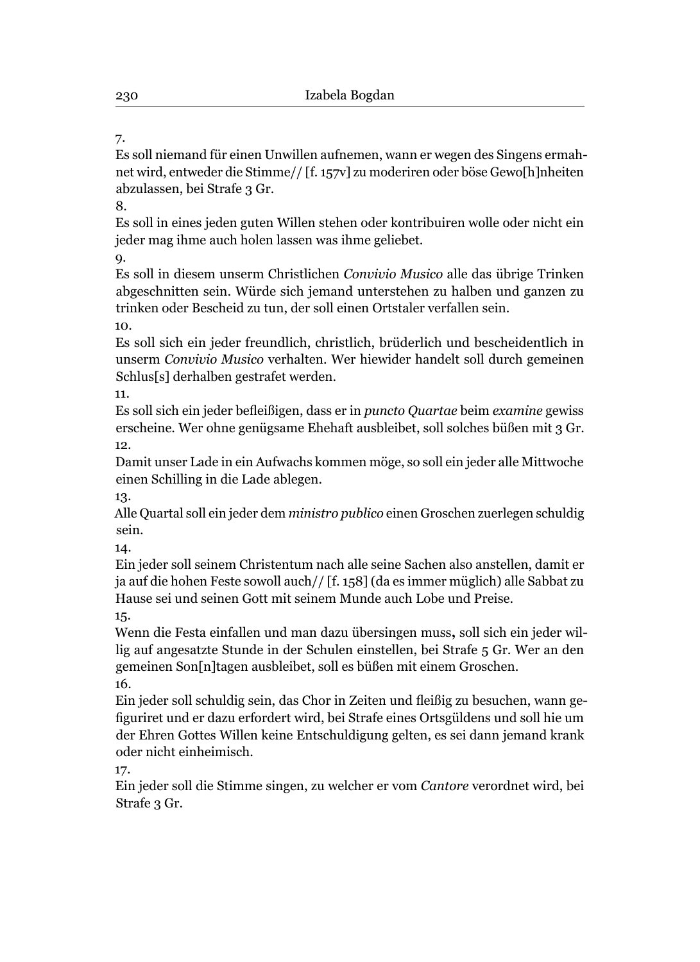Es soll niemand für einen Unwillen aufnemen, wann er wegen des Singens ermahnet wird, entweder die Stimme// [f. 157v] zu moderiren oder böse Gewo[h]nheiten abzulassen, bei Strafe 3 Gr.

8.

Es soll in eines jeden guten Willen stehen oder kontribuiren wolle oder nicht ein jeder mag ihme auch holen lassen was ihme geliebet.

9.

Es soll in diesem unserm Christlichen *Convivio Musico* alle das übrige Trinken abgeschnitten sein. Würde sich jemand unterstehen zu halben und ganzen zu trinken oder Bescheid zu tun, der soll einen Ortstaler verfallen sein.

10.

Es soll sich ein jeder freundlich, christlich, brüderlich und bescheidentlich in unserm *Convivio Musico* verhalten. Wer hiewider handelt soll durch gemeinen Schlus[s] derhalben gestrafet werden.

11.

Es soll sich ein jeder befl eißigen, dass er in *puncto Quartae* beim *examine* gewiss erscheine. Wer ohne genügsame Ehehaft ausbleibet, soll solches büßen mit 3 Gr. 12.

Damit unser Lade in ein Aufwachs kommen möge, so soll ein jeder alle Mittwoche einen Schilling in die Lade ablegen.

13.

Alle Quartal soll ein jeder dem *ministro publico* einen Groschen zuerlegen schuldig sein.

14.

Ein jeder soll seinem Christentum nach alle seine Sachen also anstellen, damit er ja auf die hohen Feste sowoll auch// [f. 158] (da es immer müglich) alle Sabbat zu Hause sei und seinen Gott mit seinem Munde auch Lobe und Preise.

15.

Wenn die Festa einfallen und man dazu übersingen muss**,** soll sich ein jeder willig auf angesatzte Stunde in der Schulen einstellen, bei Strafe 5 Gr. Wer an den gemeinen Son[n]tagen ausbleibet, soll es büßen mit einem Groschen. 16.

Ein jeder soll schuldig sein, das Chor in Zeiten und fleißig zu besuchen, wann gefi guriret und er dazu erfordert wird, bei Strafe eines Ortsgüldens und soll hie um der Ehren Gottes Willen keine Entschuldigung gelten, es sei dann jemand krank oder nicht einheimisch.

17.

Ein jeder soll die Stimme singen, zu welcher er vom *Cantore* verordnet wird, bei Strafe 3 Gr.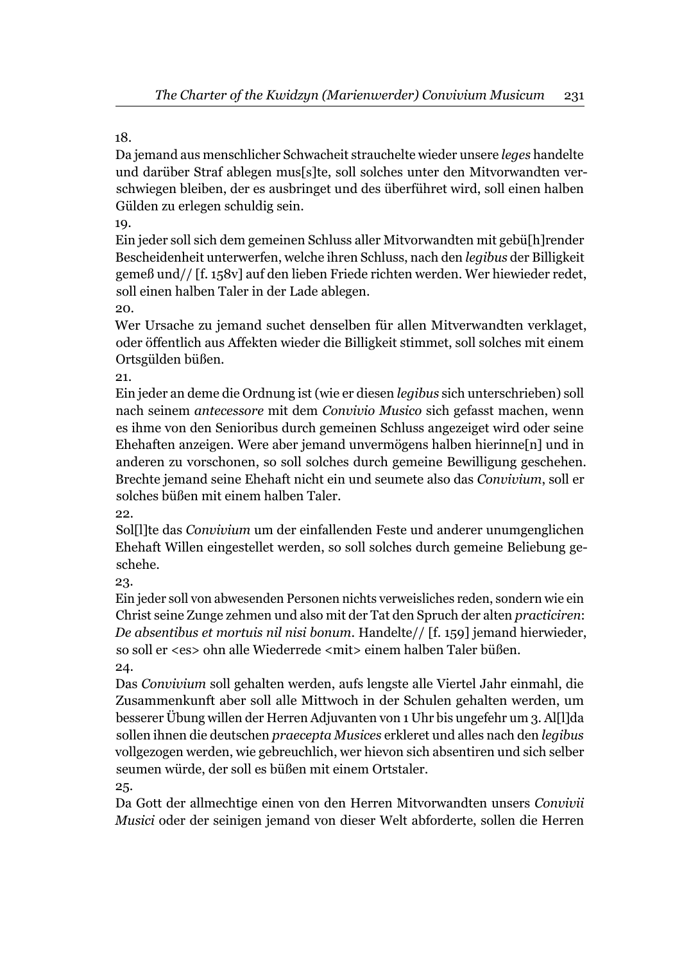Da jemand aus menschlicher Schwacheit strauchelte wieder unsere *leges* handelte und darüber Straf ablegen mus[s]te, soll solches unter den Mitvorwandten verschwiegen bleiben, der es ausbringet und des überführet wird, soll einen halben Gülden zu erlegen schuldig sein.

19.

Ein jeder soll sich dem gemeinen Schluss aller Mitvorwandten mit gebü[h]render Bescheidenheit unterwerfen, welche ihren Schluss, nach den *legibus* der Billigkeit gemeß und// [f. 158v] auf den lieben Friede richten werden. Wer hiewieder redet, soll einen halben Taler in der Lade ablegen.

20.

Wer Ursache zu jemand suchet denselben für allen Mitverwandten verklaget, oder öffentlich aus Affekten wieder die Billigkeit stimmet, soll solches mit einem Ortsgülden büßen.

21.

Ein jeder an deme die Ordnung ist (wie er diesen *legibus* sich unterschrieben) soll nach seinem *antecessore* mit dem *Convivio Musico* sich gefasst machen, wenn es ihme von den Senioribus durch gemeinen Schluss angezeiget wird oder seine Ehehaften anzeigen. Were aber jemand unvermögens halben hierinne[n] und in anderen zu vorschonen, so soll solches durch gemeine Bewilligung geschehen. Brechte jemand seine Ehehaft nicht ein und seumete also das *Convivium*, soll er solches büßen mit einem halben Taler.

22.

Sol[l]te das *Convivium* um der einfallenden Feste und anderer unumgenglichen Ehehaft Willen eingestellet werden, so soll solches durch gemeine Beliebung geschehe.

23.

Ein jeder soll von abwesenden Personen nichts verweisliches reden, sondern wie ein Christ seine Zunge zehmen und also mit der Tat den Spruch der alten *practiciren*: *De absentibus et mortuis nil nisi bonum*. Handelte// [f. 159] jemand hierwieder, so soll er <es> ohn alle Wiederrede <mit> einem halben Taler büßen. 24.

Das *Convivium* soll gehalten werden, aufs lengste alle Viertel Jahr einmahl, die Zusammenkunft aber soll alle Mittwoch in der Schulen gehalten werden, um besserer Übung willen der Herren Adjuvanten von 1 Uhr bis ungefehr um 3. Al[l]da sollen ihnen die deutschen *praecepta Musices* erkleret und alles nach den *legibus* vollgezogen werden, wie gebreuchlich, wer hievon sich absentiren und sich selber seumen würde, der soll es büßen mit einem Ortstaler.

25.

Da Gott der allmechtige einen von den Herren Mitvorwandten unsers *Convivii Musici* oder der seinigen jemand von dieser Welt abforderte, sollen die Herren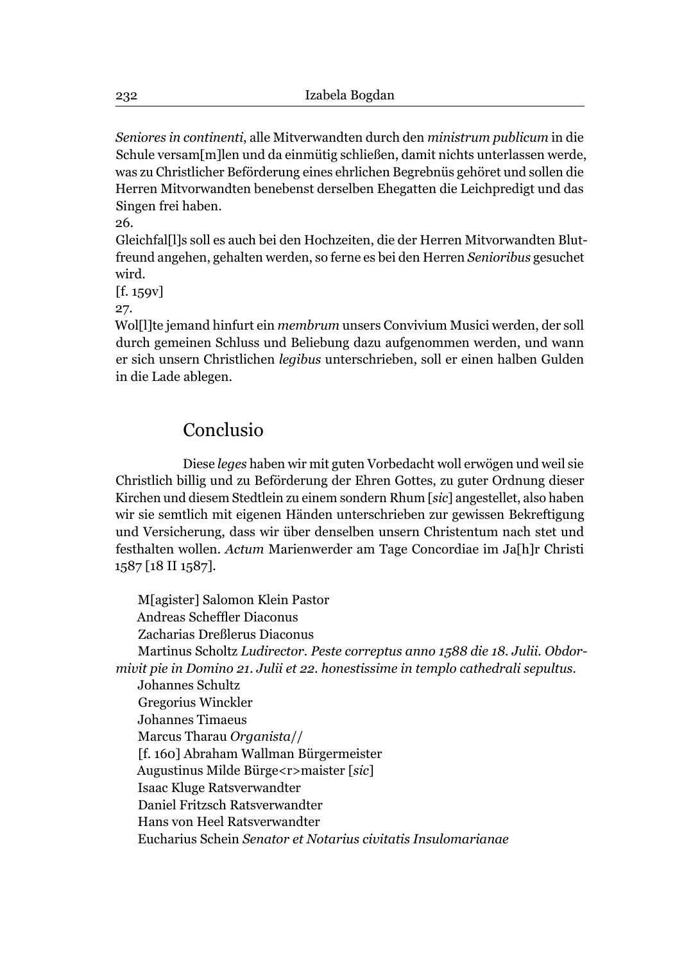*Seniores in continenti*, alle Mitverwandten durch den *ministrum publicum* in die Schule versam[m]len und da einmütig schließen, damit nichts unterlassen werde, was zu Christlicher Beförderung eines ehrlichen Begrebnüs gehöret und sollen die Herren Mitvorwandten benebenst derselben Ehegatten die Leichpredigt und das Singen frei haben.

26.

Gleichfal[l]s soll es auch bei den Hochzeiten, die der Herren Mitvorwandten Blutfreund angehen, gehalten werden, so ferne es bei den Herren *Senioribus* gesuchet wird.

 $[f. 159v]$ 

27.

Wol[l]te jemand hinfurt ein *membrum* unsers Convivium Musici werden, der soll durch gemeinen Schluss und Beliebung dazu aufgenommen werden, und wann er sich unsern Christlichen *legibus* unterschrieben, soll er einen halben Gulden in die Lade ablegen.

## Conclusio

Diese *leges* haben wir mit guten Vorbedacht woll erwögen und weil sie Christlich billig und zu Beförderung der Ehren Gottes, zu guter Ordnung dieser Kirchen und diesem Stedtlein zu einem sondern Rhum [*sic*] angestellet, also haben wir sie semtlich mit eigenen Händen unterschrieben zur gewissen Bekreftigung und Versicherung, dass wir über denselben unsern Christentum nach stet und festhalten wollen. *Actum* Marienwerder am Tage Concordiae im Ja[h]r Christi 1587 [18 II 1587].

M[agister] Salomon Klein Pastor Andreas Scheffler Diaconus Zacharias Dreßlerus Diaconus Martinus Scholtz *Ludirector. Peste correptus anno 1588 die 18. Julii. Obdormivit pie in Domino 21. Julii et 22. honestissime in templo cathedrali sepultus.* Johannes Schultz Gregorius Winckler Johannes Timaeus Marcus Tharau *Organista*// [f. 160] Abraham Wallman Bürgermeister Augustinus Milde Bürge<r>maister [*sic*] Isaac Kluge Ratsverwandter Daniel Fritzsch Ratsverwandter Hans von Heel Ratsverwandter Eucharius Schein *Senator et Notarius civitatis Insulomarianae*